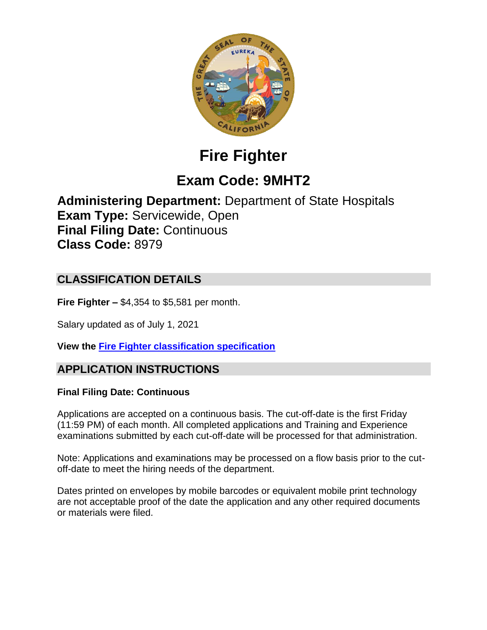

# **Fire Fighter**

## **Exam Code: 9MHT2**

**Administering Department:** Department of State Hospitals **Exam Type:** Servicewide, Open **Final Filing Date:** Continuous **Class Code:** 8979

## **CLASSIFICATION DETAILS**

**Fire Fighter –** \$4,354 to \$5,581 per month.

Salary updated as of July 1, 2021

**View the [Fire Fighter classification specification](https://www.calhr.ca.gov/state-hr-professionals/Pages/8979.aspx)**

## **APPLICATION INSTRUCTIONS**

#### **Final Filing Date: Continuous**

Applications are accepted on a continuous basis. The cut-off-date is the first Friday (11:59 PM) of each month. All completed applications and Training and Experience examinations submitted by each cut-off-date will be processed for that administration.

Note: Applications and examinations may be processed on a flow basis prior to the cutoff-date to meet the hiring needs of the department.

Dates printed on envelopes by mobile barcodes or equivalent mobile print technology are not acceptable proof of the date the application and any other required documents or materials were filed.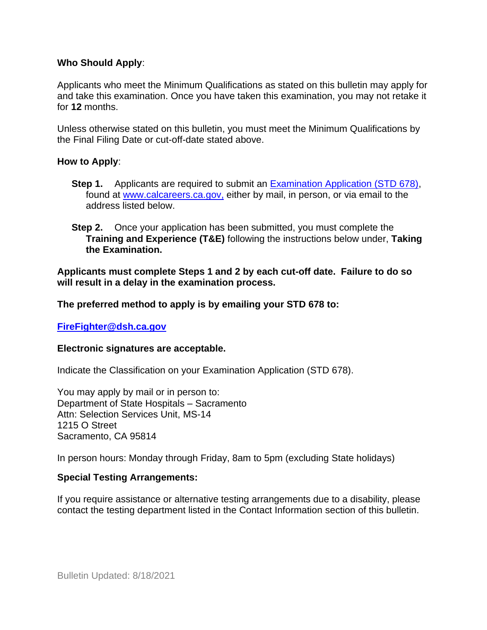#### **Who Should Apply**:

Applicants who meet the Minimum Qualifications as stated on this bulletin may apply for and take this examination. Once you have taken this examination, you may not retake it for **12** months.

Unless otherwise stated on this bulletin, you must meet the Minimum Qualifications by the Final Filing Date or cut-off-date stated above.

#### **How to Apply**:

- **Step 1.** Applicants are required to submit an [Examination Application \(STD 678\),](https://jobs.ca.gov/pdf/std678.pdf) found at [www.calcareers.ca.gov,](http://www.calcareers.ca.gov/) either by mail, in person, or via email to the address listed below.
- **Step 2.** Once your application has been submitted, you must complete the **Training and Experience (T&E)** following the instructions below under, **Taking the Examination.**

**Applicants must complete Steps 1 and 2 by each cut-off date. Failure to do so will result in a delay in the examination process.**

**The preferred method to apply is by emailing your STD 678 to:**

**[FireFighter@dsh.ca.gov](mailto:FireFighter@dsh.ca.gov)**

#### **Electronic signatures are acceptable.**

Indicate the Classification on your Examination Application (STD 678).

You may apply by mail or in person to: Department of State Hospitals – Sacramento Attn: Selection Services Unit, MS-14 1215 O Street Sacramento, CA 95814

In person hours: Monday through Friday, 8am to 5pm (excluding State holidays)

#### **Special Testing Arrangements:**

If you require assistance or alternative testing arrangements due to a disability, please contact the testing department listed in the Contact Information section of this bulletin.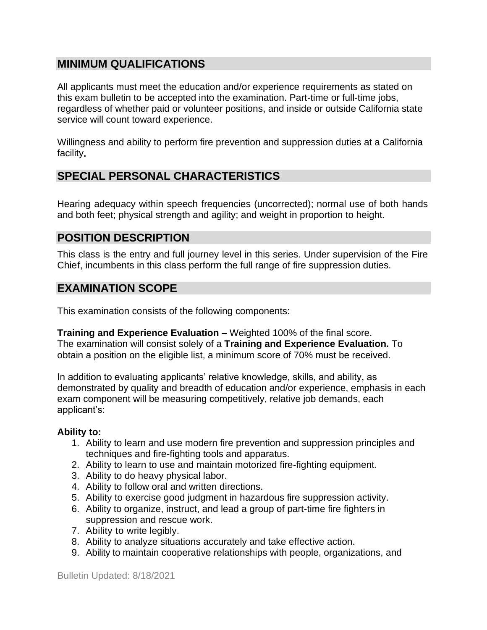## **MINIMUM QUALIFICATIONS**

All applicants must meet the education and/or experience requirements as stated on this exam bulletin to be accepted into the examination. Part-time or full-time jobs, regardless of whether paid or volunteer positions, and inside or outside California state service will count toward experience.

Willingness and ability to perform fire prevention and suppression duties at a California facility**.**

## **SPECIAL PERSONAL CHARACTERISTICS**

Hearing adequacy within speech frequencies (uncorrected); normal use of both hands and both feet; physical strength and agility; and weight in proportion to height.

## **POSITION DESCRIPTION**

This class is the entry and full journey level in this series. Under supervision of the Fire Chief, incumbents in this class perform the full range of fire suppression duties.

## **EXAMINATION SCOPE**

This examination consists of the following components:

**Training and Experience Evaluation –** Weighted 100% of the final score. The examination will consist solely of a **Training and Experience Evaluation.** To obtain a position on the eligible list, a minimum score of 70% must be received.

In addition to evaluating applicants' relative knowledge, skills, and ability, as demonstrated by quality and breadth of education and/or experience, emphasis in each exam component will be measuring competitively, relative job demands, each applicant's:

#### **Ability to:**

- 1. Ability to learn and use modern fire prevention and suppression principles and techniques and fire-fighting tools and apparatus.
- 2. Ability to learn to use and maintain motorized fire-fighting equipment.
- 3. Ability to do heavy physical labor.
- 4. Ability to follow oral and written directions.
- 5. Ability to exercise good judgment in hazardous fire suppression activity.
- 6. Ability to organize, instruct, and lead a group of part-time fire fighters in suppression and rescue work.
- 7. Ability to write legibly.
- 8. Ability to analyze situations accurately and take effective action.
- 9. Ability to maintain cooperative relationships with people, organizations, and

Bulletin Updated: 8/18/2021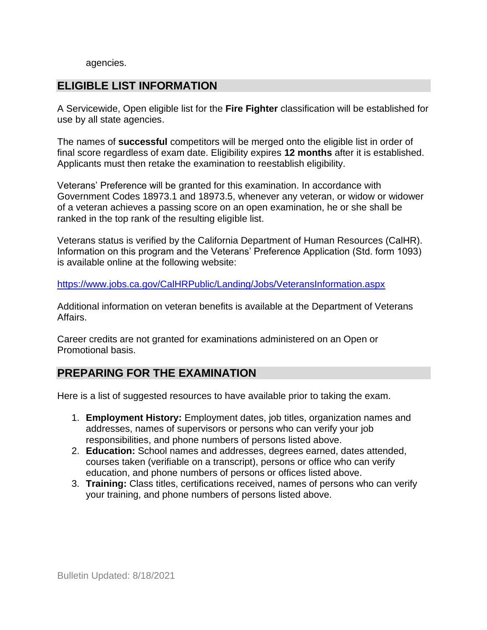#### agencies.

## **ELIGIBLE LIST INFORMATION**

A Servicewide, Open eligible list for the **Fire Fighter** classification will be established for use by all state agencies.

The names of **successful** competitors will be merged onto the eligible list in order of final score regardless of exam date. Eligibility expires **12 months** after it is established. Applicants must then retake the examination to reestablish eligibility.

Veterans' Preference will be granted for this examination. In accordance with Government Codes 18973.1 and 18973.5, whenever any veteran, or widow or widower of a veteran achieves a passing score on an open examination, he or she shall be ranked in the top rank of the resulting eligible list.

Veterans status is verified by the California Department of Human Resources (CalHR). Information on this program and the Veterans' Preference Application (Std. form 1093) is available online at the following website:

<https://www.jobs.ca.gov/CalHRPublic/Landing/Jobs/VeteransInformation.aspx>

Additional information on veteran benefits is available at the Department of Veterans Affairs.

Career credits are not granted for examinations administered on an Open or Promotional basis.

## **PREPARING FOR THE EXAMINATION**

Here is a list of suggested resources to have available prior to taking the exam.

- 1. **Employment History:** Employment dates, job titles, organization names and addresses, names of supervisors or persons who can verify your job responsibilities, and phone numbers of persons listed above.
- 2. **Education:** School names and addresses, degrees earned, dates attended, courses taken (verifiable on a transcript), persons or office who can verify education, and phone numbers of persons or offices listed above.
- 3. **Training:** Class titles, certifications received, names of persons who can verify your training, and phone numbers of persons listed above.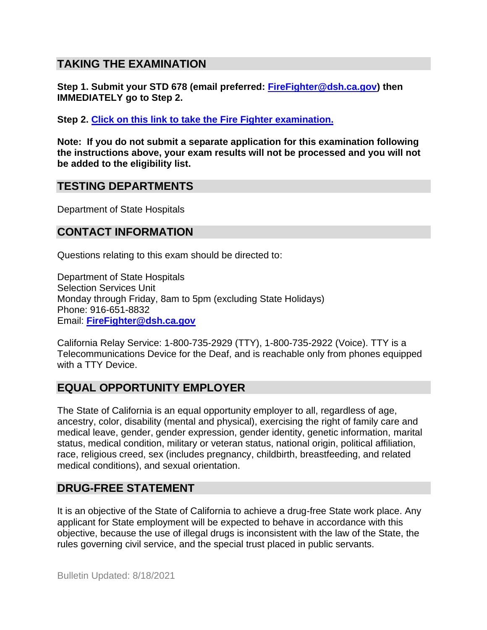## **TAKING THE EXAMINATION**

**Step 1. Submit your STD 678 (email preferred: [FireFighter@dsh.ca.gov\)](mailto:FireFighter@dsh.ca.gov) then IMMEDIATELY go to Step 2.**

**Step 2. Click [on this link to take the Fire Fighter](https://www.surveymonkey.com/r/8JYZN5T) examination.**

**Note: If you do not submit a separate application for this examination following the instructions above, your exam results will not be processed and you will not be added to the eligibility list.**

## **TESTING DEPARTMENTS**

Department of State Hospitals

## **CONTACT INFORMATION**

Questions relating to this exam should be directed to:

Department of State Hospitals Selection Services Unit Monday through Friday, 8am to 5pm (excluding State Holidays) Phone: 916-651-8832 Email: **[FireFighter@dsh.ca.gov](mailto:FireFighter@dsh.ca.gov)**

California Relay Service: 1-800-735-2929 (TTY), 1-800-735-2922 (Voice). TTY is a Telecommunications Device for the Deaf, and is reachable only from phones equipped with a TTY Device.

## **EQUAL OPPORTUNITY EMPLOYER**

The State of California is an equal opportunity employer to all, regardless of age, ancestry, color, disability (mental and physical), exercising the right of family care and medical leave, gender, gender expression, gender identity, genetic information, marital status, medical condition, military or veteran status, national origin, political affiliation, race, religious creed, sex (includes pregnancy, childbirth, breastfeeding, and related medical conditions), and sexual orientation.

## **DRUG-FREE STATEMENT**

It is an objective of the State of California to achieve a drug-free State work place. Any applicant for State employment will be expected to behave in accordance with this objective, because the use of illegal drugs is inconsistent with the law of the State, the rules governing civil service, and the special trust placed in public servants.